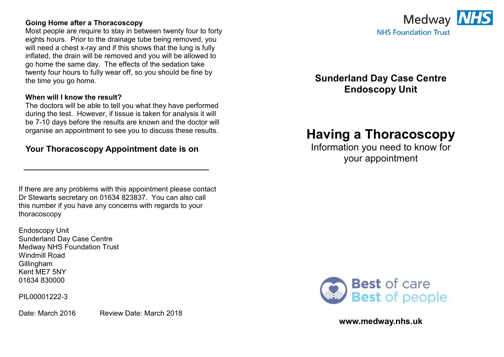#### **Going Home after a Thoracoscopy**

Most people are require to stay in between twenty four to forty eights hours. Prior to the drainage tube being removed, you will need a chest x-ray and if this shows that the lung is fully inflated, the drain will be removed and you will be allowed to go home the same day. The effects of the sedation take twenty four hours to fully wear off, so you should be fine by the time you go home.

#### **When will I know the result?**

The doctors will be able to tell you what they have performed during the test. However, if tissue is taken for analysis it will be 7-10 days before the results are known and the doctor will organise an appointment to see you to discuss these results.

### **Your Thoracoscopy Appointment date is on**

If there are any problems with this appointment please contact Dr Stewarts secretary on 01634 823837. You can also call this number if you have any concerns with regards to your thoracoscopy

Endoscopy Unit Sunderland Day Case Centre Medway NHS Foundation Trust Windmill Road Gillingham Kent ME7 5NY 01634 830000

PIL00001222-3

Date: March 2016 Review Date: March 2018



## **Sunderland Day Case Centre Endoscopy Unit**

# **Having a Thoracoscopy**

Information you need to know for your appointment



**www.medway.nhs.uk**